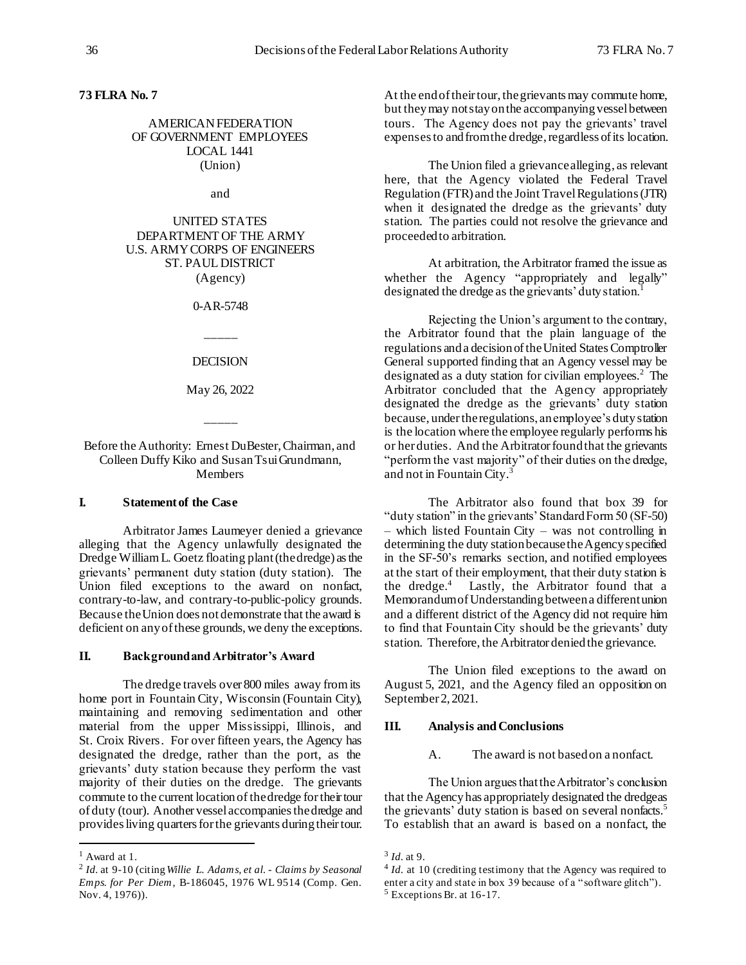# **73 FLRA No. 7**

### AMERICAN FEDERATION OF GOVERNMENT EMPLOYEES LOCAL 1441 (Union)

and

# UNITED STATES DEPARTMENT OF THE ARMY U.S. ARMY CORPS OF ENGINEERS ST. PAUL DISTRICT (Agency)

0-AR-5748

DECISION

\_\_\_\_\_

May 26, 2022

\_\_\_\_\_

### Before the Authority: Ernest DuBester, Chairman, and Colleen Duffy Kiko and Susan Tsui Grundmann, **Members**

### **I. Statement of the Case**

Arbitrator James Laumeyer denied a grievance alleging that the Agency unlawfully designated the Dredge William L. Goetz floating plant (the dredge) as the grievants' permanent duty station (duty station). The Union filed exceptions to the award on nonfact, contrary-to-law, and contrary-to-public-policy grounds. Because the Union does not demonstrate that the award is deficient on any of these grounds, we deny the exceptions.

#### **II. Background and Arbitrator's Award**

The dredge travels over 800 miles away from its home port in Fountain City, Wisconsin (Fountain City), maintaining and removing sedimentation and other material from the upper Mississippi, Illinois, and St. Croix Rivers. For over fifteen years, the Agency has designated the dredge, rather than the port, as the grievants' duty station because they perform the vast majority of their duties on the dredge. The grievants commute to the current location of the dredge for their tour of duty (tour). Another vessel accompanies the dredge and providesliving quarters for the grievants during theirtour.

j

At the end of their tour, the grievants may commute home, but they may not stay on the accompanying vessel between tours. The Agency does not pay the grievants' travel expenses to and from the dredge, regardless of its location.

The Union filed a grievance alleging, as relevant here, that the Agency violated the Federal Travel Regulation (FTR) and the Joint Travel Regulations (JTR) when it designated the dredge as the grievants' duty station. The parties could not resolve the grievance and proceeded to arbitration.

At arbitration, the Arbitrator framed the issue as whether the Agency "appropriately and legally" designated the dredge as the grievants' duty station.<sup>1</sup>

Rejecting the Union's argument to the contrary, the Arbitrator found that the plain language of the regulations and a decision of the United States Comptroller General supported finding that an Agency vessel may be designated as a duty station for civilian employees.<sup>2</sup> The Arbitrator concluded that the Agency appropriately designated the dredge as the grievants' duty station because, under the regulations, an employee's duty station is the location where the employee regularly performs his or her duties. And the Arbitrator found that the grievants "perform the vast majority" of their duties on the dredge, and not in Fountain City.<sup>3</sup>

The Arbitrator also found that box 39 for "duty station" in the grievants' Standard Form 50 (SF-50) – which listed Fountain City – was not controlling in determining the duty stationbecause the Agency specified in the SF-50's remarks section, and notified employees at the start of their employment, that their duty station is the dredge.<sup>4</sup> Lastly, the Arbitrator found that a Memorandum of Understanding between a different union and a different district of the Agency did not require him to find that Fountain City should be the grievants' duty station. Therefore, the Arbitrator denied the grievance.

The Union filed exceptions to the award on August 5, 2021, and the Agency filed an opposition on September 2, 2021.

#### **III. Analysis and Conclusions**

A. The award is not based on a nonfact.

The Union argues that the Arbitrator's conclusion that the Agency has appropriately designated the dredge as the grievants' duty station is based on several nonfacts.<sup>5</sup> To establish that an award is based on a nonfact, the

<sup>1</sup> Award at 1.

<sup>2</sup> *Id.* at 9-10 (citing *Willie L. Adams, et al. - Claims by Seasonal Emps. for Per Diem*, B-186045, 1976 WL 9514 (Comp. Gen. Nov. 4, 1976)).

<sup>3</sup> *Id.* at 9.

<sup>&</sup>lt;sup>4</sup> *Id.* at 10 (crediting testimony that the Agency was required to enter a city and state in box 39 because of a "software glitch").  $<sup>5</sup>$  Exceptions Br. at 16-17.</sup>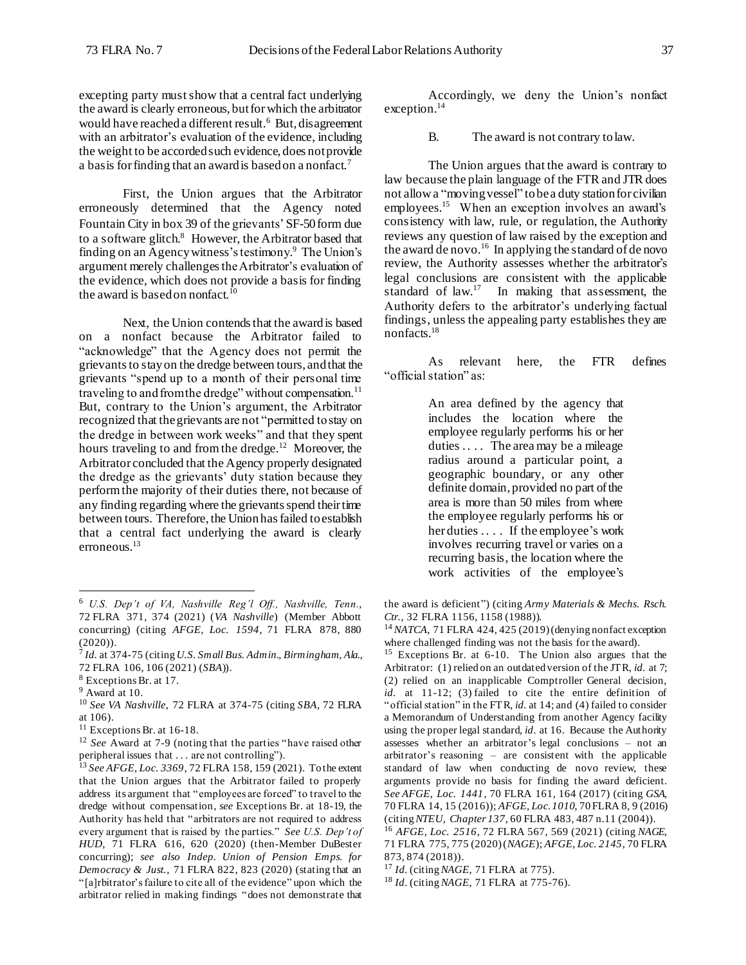excepting party must show that a central fact underlying the award is clearly erroneous, but for which the arbitrator would have reached a different result.<sup>6</sup> But, disagreement with an arbitrator's evaluation of the evidence, including the weight to be accorded such evidence, does not provide a basis for finding that an award is based on a nonfact.<sup>7</sup>

First, the Union argues that the Arbitrator erroneously determined that the Agency noted Fountain City in box 39 of the grievants' SF-50 form due to a software glitch.<sup>8</sup> However, the Arbitrator based that finding on an Agency witness's testimony. <sup>9</sup> The Union's argument merely challengesthe Arbitrator's evaluation of the evidence, which does not provide a basis for finding the award is based on nonfact.<sup>10</sup>

Next, the Union contends that the award is based on a nonfact because the Arbitrator failed to "acknowledge" that the Agency does not permit the grievants to stay on the dredge between tours, and that the grievants "spend up to a month of their personal time traveling to and from the dredge" without compensation.<sup>11</sup> But, contrary to the Union's argument, the Arbitrator recognized that the grievants are not "permitted to stay on the dredge in between work weeks" and that they spent hours traveling to and from the dredge.<sup>12</sup> Moreover, the Arbitrator concluded that the Agency properly designated the dredge as the grievants' duty station because they perform the majority of their duties there, not because of any finding regarding where the grievants spend their time between tours. Therefore, the Union has failed to establish that a central fact underlying the award is clearly erroneous.<sup>13</sup>

j

Accordingly, we deny the Union's nonfact exception.<sup>14</sup>

B. The award is not contrary to law.

The Union argues that the award is contrary to law because the plain language of the FTR and JTR does not allow a "moving vessel" to bea duty station for civilian employees. 15 When an exception involves an award's consistency with law, rule, or regulation, the Authority reviews any question of law raised by the exception and the award de novo.<sup>16</sup> In applying the standard of de novo review, the Authority assesses whether the arbitrator's legal conclusions are consistent with the applicable standard of law.<sup>17</sup> In making that assessment, the Authority defers to the arbitrator's underlying factual findings, unless the appealing party establishes they are nonfacts.<sup>18</sup>

As relevant here, the FTR defines "official station" as:

> An area defined by the agency that includes the location where the employee regularly performs his or her duties .... The area may be a mileage radius around a particular point, a geographic boundary, or any other definite domain, provided no part of the area is more than 50 miles from where the employee regularly performs his or her duties .... If the employee's work involves recurring travel or varies on a recurring basis, the location where the work activities of the employee's

<sup>6</sup> *U.S. Dep't of VA, Nashville Reg'l Off., Nashville, Tenn.*, 72 FLRA 371, 374 (2021) (*VA Nashville*) (Member Abbott concurring) (citing *AFGE, Loc. 1594*, 71 FLRA 878, 880 (2020)).

<sup>7</sup> *Id.* at 374-75 (citing *U.S. Small Bus. Admin., Birmingham, Ala.*, 72 FLRA 106, 106 (2021) (*SBA*)).

<sup>8</sup> Exceptions Br. at 17.

<sup>9</sup> Award at 10.

<sup>10</sup> *See VA Nashville*, 72 FLRA at 374-75 (citing *SBA*, 72 FLRA at 106).

 $11$  Exceptions Br. at 16-18.

<sup>&</sup>lt;sup>12</sup> *See* Award at 7-9 (noting that the parties "have raised other peripheral issues that . . . are not controlling").

<sup>13</sup> *See AFGE, Loc. 3369*, 72 FLRA 158, 159 (2021). To the extent that the Union argues that the Arbitrator failed to properly address its argument that "employees are forced" to travel to the dredge without compensation, *see* Exceptions Br. at 18-19, the Authority has held that "arbitrators are not required to address every argument that is raised by the parties." *See U.S. Dep't of HUD*, 71 FLRA 616, 620 (2020) (then-Member DuBester concurring); *see also Indep. Union of Pension Emps. for Democracy & Just.*, 71 FLRA 822, 823 (2020) (stating that an "[a]rbitrator's failure to cite all of the evidence" upon which the arbitrator relied in making findings "does not demonstrate that

the award is deficient") (citing *Army Materials & Mechs. Rsch. Ctr.*, 32 FLRA 1156, 1158 (1988)).

<sup>&</sup>lt;sup>14</sup> *NATCA*, 71 FLRA 424, 425 (2019) (denying nonfact exception where challenged finding was not the basis for the award).

<sup>15</sup> Exceptions Br. at 6-10. The Union also argues that the Arbitrator: (1) relied on an outdated version of the JTR, *id.* at 7; (2) relied on an inapplicable Comptroller General decision, *id.* at 11-12; (3) failed to cite the entire definition of "official station" in the FTR, *id.* at 14; and (4) failed to consider a Memorandum of Understanding from another Agency facility using the proper legal standard, *id.* at 16. Because the Authority assesses whether an arbitrator's legal conclusions – not an arbitrator's reasoning – are consistent with the applicable standard of law when conducting de novo review, these arguments provide no basis for finding the award deficient. *See AFGE, Loc. 1441*, 70 FLRA 161, 164 (2017) (citing *GSA*, 70 FLRA 14, 15 (2016)); *AFGE, Loc. 1010*, 70 FLRA 8, 9 (2016) (citing *NTEU, Chapter 137*, 60 FLRA 483, 487 n.11 (2004)). <sup>16</sup> *AFGE, Loc. 2516*, 72 FLRA 567, 569 (2021) (citing *NAGE*,

<sup>71</sup> FLRA 775, 775 (2020) (*NAGE*); *AFGE, Loc. 2145*, 70 FLRA 873, 874 (2018)).

<sup>17</sup> *Id.* (citing *NAGE*, 71 FLRA at 775).

<sup>18</sup> *Id.* (citing *NAGE*, 71 FLRA at 775-76).